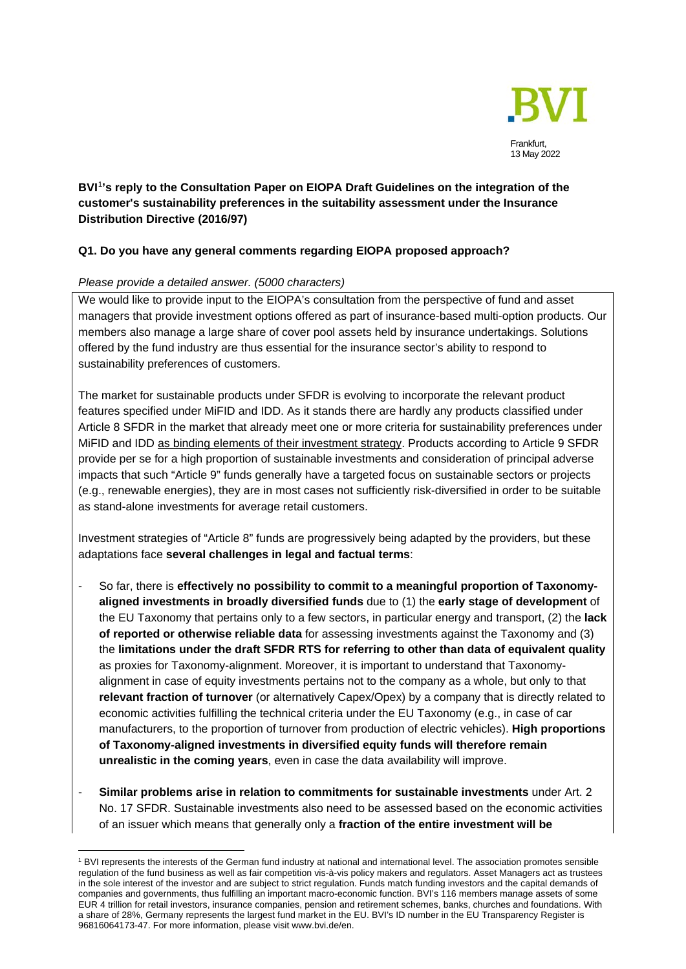

# **BVI**[1](#page-0-0)**'s reply to the Consultation Paper on EIOPA Draft Guidelines on the integration of the customer's sustainability preferences in the suitability assessment under the Insurance Distribution Directive (2016/97)**

# **Q1. Do you have any general comments regarding EIOPA proposed approach?**

## *Please provide a detailed answer. (5000 characters)*

We would like to provide input to the EIOPA's consultation from the perspective of fund and asset managers that provide investment options offered as part of insurance-based multi-option products. Our members also manage a large share of cover pool assets held by insurance undertakings. Solutions offered by the fund industry are thus essential for the insurance sector's ability to respond to sustainability preferences of customers.

The market for sustainable products under SFDR is evolving to incorporate the relevant product features specified under MiFID and IDD. As it stands there are hardly any products classified under Article 8 SFDR in the market that already meet one or more criteria for sustainability preferences under MiFID and IDD as binding elements of their investment strategy. Products according to Article 9 SFDR provide per se for a high proportion of sustainable investments and consideration of principal adverse impacts that such "Article 9" funds generally have a targeted focus on sustainable sectors or projects (e.g., renewable energies), they are in most cases not sufficiently risk-diversified in order to be suitable as stand-alone investments for average retail customers.

Investment strategies of "Article 8" funds are progressively being adapted by the providers, but these adaptations face **several challenges in legal and factual terms**:

- So far, there is **effectively no possibility to commit to a meaningful proportion of Taxonomyaligned investments in broadly diversified funds** due to (1) the **early stage of development** of the EU Taxonomy that pertains only to a few sectors, in particular energy and transport, (2) the **lack of reported or otherwise reliable data** for assessing investments against the Taxonomy and (3) the **limitations under the draft SFDR RTS for referring to other than data of equivalent quality** as proxies for Taxonomy-alignment. Moreover, it is important to understand that Taxonomyalignment in case of equity investments pertains not to the company as a whole, but only to that **relevant fraction of turnover** (or alternatively Capex/Opex) by a company that is directly related to economic activities fulfilling the technical criteria under the EU Taxonomy (e.g., in case of car manufacturers, to the proportion of turnover from production of electric vehicles). **High proportions of Taxonomy-aligned investments in diversified equity funds will therefore remain unrealistic in the coming years**, even in case the data availability will improve.
- **Similar problems arise in relation to commitments for sustainable investments** under Art. 2 No. 17 SFDR. Sustainable investments also need to be assessed based on the economic activities of an issuer which means that generally only a **fraction of the entire investment will be**

<span id="page-0-0"></span><sup>1</sup> BVI represents the interests of the German fund industry at national and international level. The association promotes sensible regulation of the fund business as well as fair competition vis-à-vis policy makers and regulators. Asset Managers act as trustees in the sole interest of the investor and are subject to strict regulation. Funds match funding investors and the capital demands of companies and governments, thus fulfilling an important macro-economic function. BVI's 116 members manage assets of some EUR 4 trillion for retail investors, insurance companies, pension and retirement schemes, banks, churches and foundations. With a share of 28%, Germany represents the largest fund market in the EU. BVI's ID number in the EU Transparency Register is 96816064173-47. For more information, please visit www.bvi.de/en.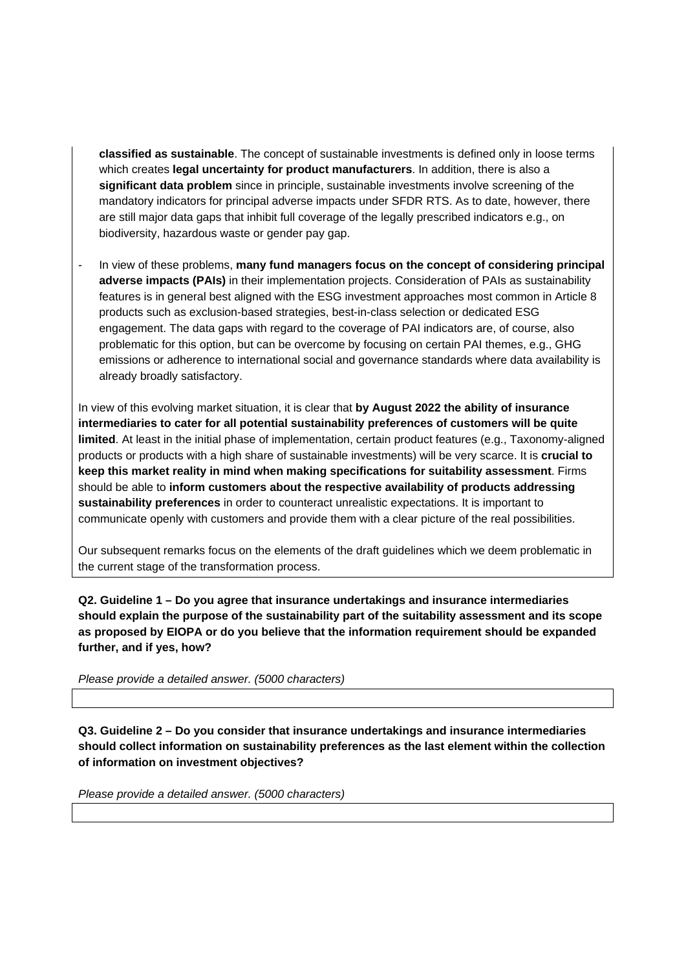**classified as sustainable**. The concept of sustainable investments is defined only in loose terms which creates **legal uncertainty for product manufacturers**. In addition, there is also a **significant data problem** since in principle, sustainable investments involve screening of the mandatory indicators for principal adverse impacts under SFDR RTS. As to date, however, there are still major data gaps that inhibit full coverage of the legally prescribed indicators e.g., on biodiversity, hazardous waste or gender pay gap.

- In view of these problems, **many fund managers focus on the concept of considering principal adverse impacts (PAIs)** in their implementation projects. Consideration of PAIs as sustainability features is in general best aligned with the ESG investment approaches most common in Article 8 products such as exclusion-based strategies, best-in-class selection or dedicated ESG engagement. The data gaps with regard to the coverage of PAI indicators are, of course, also problematic for this option, but can be overcome by focusing on certain PAI themes, e.g., GHG emissions or adherence to international social and governance standards where data availability is already broadly satisfactory.

In view of this evolving market situation, it is clear that **by August 2022 the ability of insurance intermediaries to cater for all potential sustainability preferences of customers will be quite limited**. At least in the initial phase of implementation, certain product features (e.g., Taxonomy-aligned products or products with a high share of sustainable investments) will be very scarce. It is **crucial to keep this market reality in mind when making specifications for suitability assessment**. Firms should be able to **inform customers about the respective availability of products addressing sustainability preferences** in order to counteract unrealistic expectations. It is important to communicate openly with customers and provide them with a clear picture of the real possibilities.

Our subsequent remarks focus on the elements of the draft guidelines which we deem problematic in the current stage of the transformation process.

**Q2. Guideline 1 – Do you agree that insurance undertakings and insurance intermediaries should explain the purpose of the sustainability part of the suitability assessment and its scope as proposed by EIOPA or do you believe that the information requirement should be expanded further, and if yes, how?**

*Please provide a detailed answer. (5000 characters)*

**Q3. Guideline 2 – Do you consider that insurance undertakings and insurance intermediaries should collect information on sustainability preferences as the last element within the collection of information on investment objectives?**

*Please provide a detailed answer. (5000 characters)*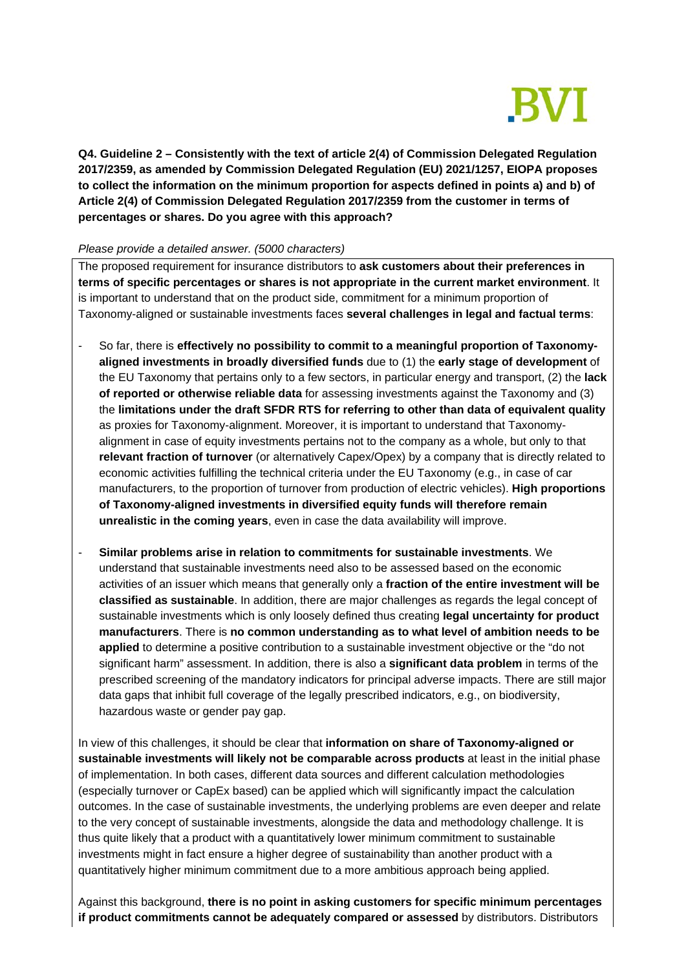

**Q4. Guideline 2 – Consistently with the text of article 2(4) of Commission Delegated Regulation 2017/2359, as amended by Commission Delegated Regulation (EU) 2021/1257, EIOPA proposes to collect the information on the minimum proportion for aspects defined in points a) and b) of Article 2(4) of Commission Delegated Regulation 2017/2359 from the customer in terms of percentages or shares. Do you agree with this approach?**

### *Please provide a detailed answer. (5000 characters)*

The proposed requirement for insurance distributors to **ask customers about their preferences in terms of specific percentages or shares is not appropriate in the current market environment**. It is important to understand that on the product side, commitment for a minimum proportion of Taxonomy-aligned or sustainable investments faces **several challenges in legal and factual terms**:

- So far, there is **effectively no possibility to commit to a meaningful proportion of Taxonomyaligned investments in broadly diversified funds** due to (1) the **early stage of development** of the EU Taxonomy that pertains only to a few sectors, in particular energy and transport, (2) the **lack of reported or otherwise reliable data** for assessing investments against the Taxonomy and (3) the **limitations under the draft SFDR RTS for referring to other than data of equivalent quality** as proxies for Taxonomy-alignment. Moreover, it is important to understand that Taxonomyalignment in case of equity investments pertains not to the company as a whole, but only to that **relevant fraction of turnover** (or alternatively Capex/Opex) by a company that is directly related to economic activities fulfilling the technical criteria under the EU Taxonomy (e.g., in case of car manufacturers, to the proportion of turnover from production of electric vehicles). **High proportions of Taxonomy-aligned investments in diversified equity funds will therefore remain unrealistic in the coming years**, even in case the data availability will improve.
- **Similar problems arise in relation to commitments for sustainable investments**. We understand that sustainable investments need also to be assessed based on the economic activities of an issuer which means that generally only a **fraction of the entire investment will be classified as sustainable**. In addition, there are major challenges as regards the legal concept of sustainable investments which is only loosely defined thus creating **legal uncertainty for product manufacturers**. There is **no common understanding as to what level of ambition needs to be applied** to determine a positive contribution to a sustainable investment objective or the "do not significant harm" assessment. In addition, there is also a **significant data problem** in terms of the prescribed screening of the mandatory indicators for principal adverse impacts. There are still major data gaps that inhibit full coverage of the legally prescribed indicators, e.g., on biodiversity, hazardous waste or gender pay gap.

In view of this challenges, it should be clear that **information on share of Taxonomy-aligned or sustainable investments will likely not be comparable across products** at least in the initial phase of implementation. In both cases, different data sources and different calculation methodologies (especially turnover or CapEx based) can be applied which will significantly impact the calculation outcomes. In the case of sustainable investments, the underlying problems are even deeper and relate to the very concept of sustainable investments, alongside the data and methodology challenge. It is thus quite likely that a product with a quantitatively lower minimum commitment to sustainable investments might in fact ensure a higher degree of sustainability than another product with a quantitatively higher minimum commitment due to a more ambitious approach being applied.

Against this background, **there is no point in asking customers for specific minimum percentages if product commitments cannot be adequately compared or assessed** by distributors. Distributors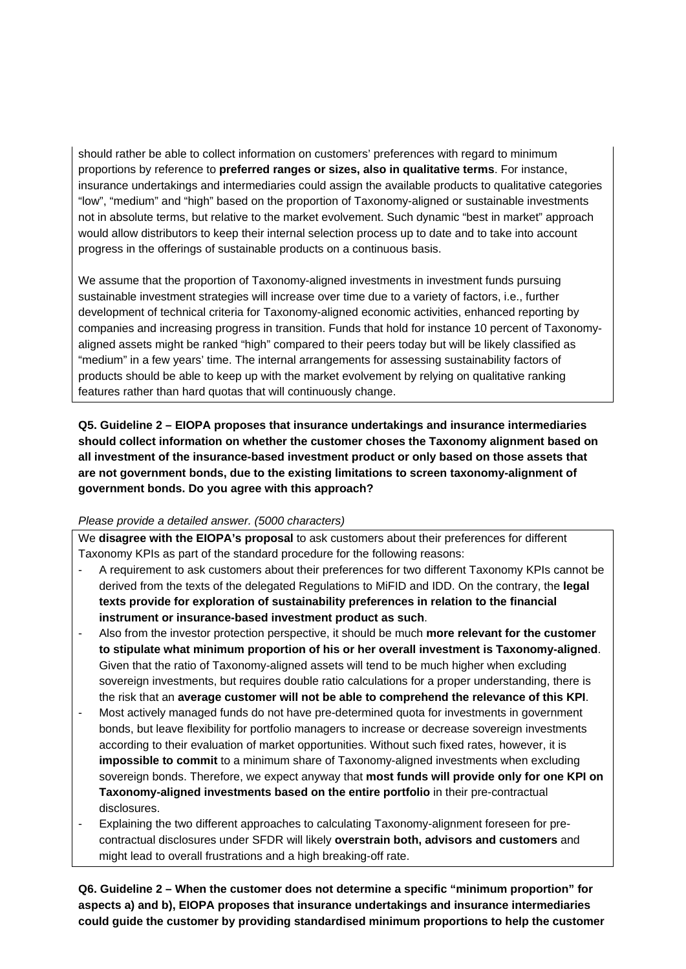should rather be able to collect information on customers' preferences with regard to minimum proportions by reference to **preferred ranges or sizes, also in qualitative terms**. For instance, insurance undertakings and intermediaries could assign the available products to qualitative categories "low", "medium" and "high" based on the proportion of Taxonomy-aligned or sustainable investments not in absolute terms, but relative to the market evolvement. Such dynamic "best in market" approach would allow distributors to keep their internal selection process up to date and to take into account progress in the offerings of sustainable products on a continuous basis.

We assume that the proportion of Taxonomy-aligned investments in investment funds pursuing sustainable investment strategies will increase over time due to a variety of factors, i.e., further development of technical criteria for Taxonomy-aligned economic activities, enhanced reporting by companies and increasing progress in transition. Funds that hold for instance 10 percent of Taxonomyaligned assets might be ranked "high" compared to their peers today but will be likely classified as "medium" in a few years' time. The internal arrangements for assessing sustainability factors of products should be able to keep up with the market evolvement by relying on qualitative ranking features rather than hard quotas that will continuously change.

**Q5. Guideline 2 – EIOPA proposes that insurance undertakings and insurance intermediaries should collect information on whether the customer choses the Taxonomy alignment based on all investment of the insurance-based investment product or only based on those assets that are not government bonds, due to the existing limitations to screen taxonomy-alignment of government bonds. Do you agree with this approach?**

## *Please provide a detailed answer. (5000 characters)*

We **disagree with the EIOPA's proposal** to ask customers about their preferences for different Taxonomy KPIs as part of the standard procedure for the following reasons:

- A requirement to ask customers about their preferences for two different Taxonomy KPIs cannot be derived from the texts of the delegated Regulations to MiFID and IDD. On the contrary, the **legal texts provide for exploration of sustainability preferences in relation to the financial instrument or insurance-based investment product as such**.
- Also from the investor protection perspective, it should be much **more relevant for the customer to stipulate what minimum proportion of his or her overall investment is Taxonomy-aligned**. Given that the ratio of Taxonomy-aligned assets will tend to be much higher when excluding sovereign investments, but requires double ratio calculations for a proper understanding, there is the risk that an **average customer will not be able to comprehend the relevance of this KPI**.
- Most actively managed funds do not have pre-determined quota for investments in government bonds, but leave flexibility for portfolio managers to increase or decrease sovereign investments according to their evaluation of market opportunities. Without such fixed rates, however, it is **impossible to commit** to a minimum share of Taxonomy-aligned investments when excluding sovereign bonds. Therefore, we expect anyway that **most funds will provide only for one KPI on Taxonomy-aligned investments based on the entire portfolio** in their pre-contractual disclosures.
- Explaining the two different approaches to calculating Taxonomy-alignment foreseen for precontractual disclosures under SFDR will likely **overstrain both, advisors and customers** and might lead to overall frustrations and a high breaking-off rate.

**Q6. Guideline 2 – When the customer does not determine a specific "minimum proportion" for aspects a) and b), EIOPA proposes that insurance undertakings and insurance intermediaries could guide the customer by providing standardised minimum proportions to help the customer**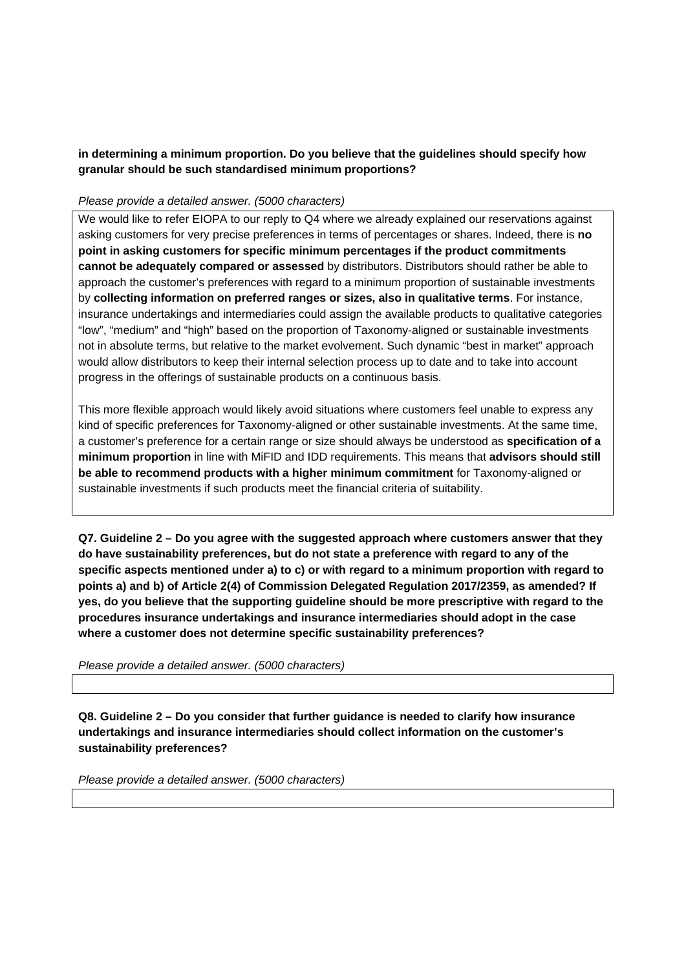**in determining a minimum proportion. Do you believe that the guidelines should specify how granular should be such standardised minimum proportions?**

### *Please provide a detailed answer. (5000 characters)*

We would like to refer EIOPA to our reply to Q4 where we already explained our reservations against asking customers for very precise preferences in terms of percentages or shares. Indeed, there is **no point in asking customers for specific minimum percentages if the product commitments cannot be adequately compared or assessed** by distributors. Distributors should rather be able to approach the customer's preferences with regard to a minimum proportion of sustainable investments by **collecting information on preferred ranges or sizes, also in qualitative terms**. For instance, insurance undertakings and intermediaries could assign the available products to qualitative categories "low", "medium" and "high" based on the proportion of Taxonomy-aligned or sustainable investments not in absolute terms, but relative to the market evolvement. Such dynamic "best in market" approach would allow distributors to keep their internal selection process up to date and to take into account progress in the offerings of sustainable products on a continuous basis.

This more flexible approach would likely avoid situations where customers feel unable to express any kind of specific preferences for Taxonomy-aligned or other sustainable investments. At the same time, a customer's preference for a certain range or size should always be understood as **specification of a minimum proportion** in line with MiFID and IDD requirements. This means that **advisors should still be able to recommend products with a higher minimum commitment** for Taxonomy-aligned or sustainable investments if such products meet the financial criteria of suitability.

**Q7. Guideline 2 – Do you agree with the suggested approach where customers answer that they do have sustainability preferences, but do not state a preference with regard to any of the specific aspects mentioned under a) to c) or with regard to a minimum proportion with regard to points a) and b) of Article 2(4) of Commission Delegated Regulation 2017/2359, as amended? If yes, do you believe that the supporting guideline should be more prescriptive with regard to the procedures insurance undertakings and insurance intermediaries should adopt in the case where a customer does not determine specific sustainability preferences?**

*Please provide a detailed answer. (5000 characters)*

**Q8. Guideline 2 – Do you consider that further guidance is needed to clarify how insurance undertakings and insurance intermediaries should collect information on the customer's sustainability preferences?**

*Please provide a detailed answer. (5000 characters)*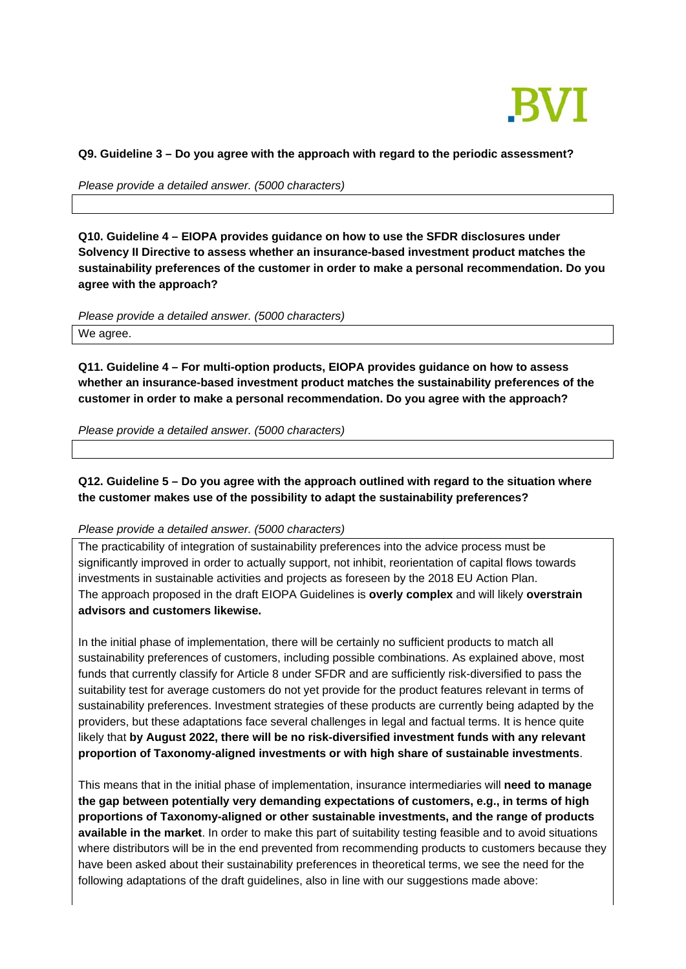

#### **Q9. Guideline 3 – Do you agree with the approach with regard to the periodic assessment?**

*Please provide a detailed answer. (5000 characters)*

**Q10. Guideline 4 – EIOPA provides guidance on how to use the SFDR disclosures under Solvency II Directive to assess whether an insurance-based investment product matches the sustainability preferences of the customer in order to make a personal recommendation. Do you agree with the approach?**

*Please provide a detailed answer. (5000 characters)* We agree.

**Q11. Guideline 4 – For multi-option products, EIOPA provides guidance on how to assess whether an insurance-based investment product matches the sustainability preferences of the customer in order to make a personal recommendation. Do you agree with the approach?**

*Please provide a detailed answer. (5000 characters)*

**Q12. Guideline 5 – Do you agree with the approach outlined with regard to the situation where the customer makes use of the possibility to adapt the sustainability preferences?**

*Please provide a detailed answer. (5000 characters)*

The practicability of integration of sustainability preferences into the advice process must be significantly improved in order to actually support, not inhibit, reorientation of capital flows towards investments in sustainable activities and projects as foreseen by the 2018 EU Action Plan. The approach proposed in the draft EIOPA Guidelines is **overly complex** and will likely **overstrain advisors and customers likewise.**

In the initial phase of implementation, there will be certainly no sufficient products to match all sustainability preferences of customers, including possible combinations. As explained above, most funds that currently classify for Article 8 under SFDR and are sufficiently risk-diversified to pass the suitability test for average customers do not yet provide for the product features relevant in terms of sustainability preferences. Investment strategies of these products are currently being adapted by the providers, but these adaptations face several challenges in legal and factual terms. It is hence quite likely that **by August 2022, there will be no risk-diversified investment funds with any relevant proportion of Taxonomy-aligned investments or with high share of sustainable investments**.

This means that in the initial phase of implementation, insurance intermediaries will **need to manage the gap between potentially very demanding expectations of customers, e.g., in terms of high proportions of Taxonomy-aligned or other sustainable investments, and the range of products available in the market**. In order to make this part of suitability testing feasible and to avoid situations where distributors will be in the end prevented from recommending products to customers because they have been asked about their sustainability preferences in theoretical terms, we see the need for the following adaptations of the draft guidelines, also in line with our suggestions made above: